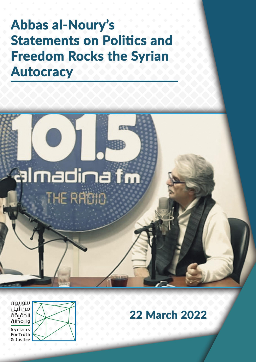# **Abbas al-Noury's Statements on Politics and Freedom Rocks the Syrian Autocracy**





### **22 March 2022**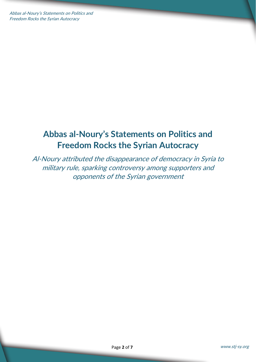Abbas al-Noury's Statements on Politics and Freedom Rocks the Syrian Autocracy

### **Abbas al-Noury's Statements on Politics and Freedom Rocks the Syrian Autocracy**

Al-Noury attributed the disappearance of democracy in Syria to military rule, sparking controversy among supporters and opponents of the Syrian government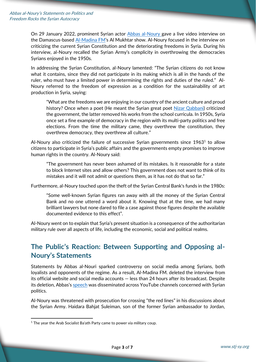On 29 January 2022, prominent Syrian actor [Abbas al-Noury](https://www.facebook.com/AbbasElnouri) gave a live video interview on the Damascus-based [Al-Madina FM](https://www.facebook.com/almadinafmsyria)'s Al Mukhtar show. Al-Noury focused in the interview on criticizing the current Syrian Constitution and the deteriorating freedoms in Syria. During his interview, al-Noury recalled the Syrian Army's complicity in overthrowing the democracies Syrians enjoyed in the 1950s.

In addressing the Syrian Constitution, al-Noury lamented: "The Syrian citizens do not know what it contains, since they did not participate in its making which is all in the hands of the ruler, who must have a limited power in determining the rights and duties of the ruled." Al-Noury referred to the freedom of expression as a condition for the sustainability of art production in Syria, saying:

"What are the freedoms we are enjoying in our country of the ancient culture and proud history? Once when a poet (He meant the Syrian great poet [Nizar Qabbani\)](https://nizarq.com/en/bio.html) criticized the government, the latter removed his works from the school curricula. In 1950s, Syria once set a fine example of democracy in the region with its multi-party politics and free elections. From the time the military came, they overthrew the constitution, they overthrew democracy, they overthrew all culture."

Al-Noury also criticized the failure of successive Syrian governments since  $1963<sup>1</sup>$  to allow citizens to participate in Syria's public affairs and the governments empty promises to improve human rights in the country. Al-Noury said:

"The government has never been ashamed of its mistakes. Is it reasonable for a state to block Internet sites and allow others? This government does not want to think of its mistakes and it will not admit or questions them, as it has not do that so far."

Furthermore, al-Noury touched upon the theft of the Syrian Central Bank's funds in the 1980s:

"Some well-known Syrian figures ran away with all the money of the Syrian Central Bank and no one uttered a word about it. Knowing that at the time, we had many brilliant lawyers but none dared to file a case against those figures despite the available documented evidence to this effect".

Al-Noury went on to explain that Syria's present situation is a consequence of the authoritarian military rule over all aspects of life, including the economic, social and political realms.

#### **The Public's Reaction: Between Supporting and Opposing al-Noury's Statements**

Statements by Abbas al-Nouri sparked controversy on social media among Syrians, both loyalists and opponents of the regime. As a result, Al-Madina FM. deleted the interview from its official website and social media accounts — less than 24 hours after its broadcast. Despite its deletion, Abbas's [speech](https://www.youtube.com/watch?v=eSlNItP7c84) was disseminated across YouTube channels concerned with Syrian politics.

Al-Noury was threatened with prosecution for crossing "the red lines" in his discussions about the Syrian Army. Haidara Bahjat Suleiman, son of the former Syrian ambassador to Jordan,

<sup>&</sup>lt;sup>1</sup> The year the Arab Socialist Ba'ath Party came to power via military coup.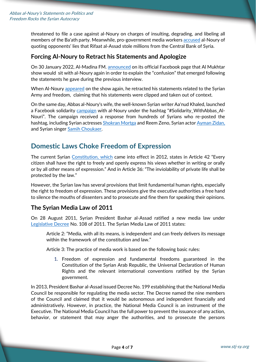threatened to file a case against al-Noury on charges of insulting, degrading, and libeling all members of the Ba'ath party. Meanwhile, pro-government media worker[s accused](https://www.youtube.com/watch?v=Fvo7dknxHVM) al-Noury of quoting opponents' lies that Rifaat al-Assad stole millions from the Central Bank of Syria.

#### **Forcing Al-Noury to Retract his Statements and Apologize**

On 30 January 2022, Al-Madina FM[. announced](https://www.facebook.com/almadinafmsyria/photos/a.365906123443736/5180996468601320) on its official Facebook page that Al Mukhtar show would sit with al-Noury again in order to explain the "confusion" that emerged following the statements he gave during the previous interview.

When Al-Noury [appeared](https://www.youtube.com/watch?v=pZLeOwXOwIQ) on the show again, he retracted his statements related to the Syrian Army and freedom, claiming that his statements were clipped and taken out of context.

On the same day, Abbas al-Noury's wife, the well-known Syrian writer Aa'nud Khaled, launched a Facebook solidarity [campaign](https://www.facebook.com/photo?fbid=1428073274257589&set=a.114379885626941) with al-Noury under the hashtag "#Solidarity WithAbbas Al-Nouri". The campaign received a response from hundreds of Syrians who re-posted the hashtag, including Syrian actresses [Shokran Mortga](https://www.facebook.com/faan.magazineoffical/posts/6845426608865254) and Reem Zeno, Syrian acto[r Ayman Zidan,](https://www.facebook.com/hashtag/%D9%85%D8%AA%D8%B6%D8%A7%D9%85%D9%86_%D9%85%D8%B9_%D8%B9%D8%A8%D8%A7%D8%B3_%D8%A7%D9%84%D9%86%D9%88%D8%B1%D9%8A) and Syrian singer [Samih Choukaer.](https://www.facebook.com/samih.choukaer/posts/4157263301042969)

#### **Domestic Laws Choke Freedom of Expression**

The current Syrian [Constitution,](https://www.constituteproject.org/constitution/Syria_2012.pdf?lang=en) which came into effect in 2012, states in Article 42 "Every citizen shall have the right to freely and openly express his views whether in writing or orally or by all other means of expression." And in Article 36: "The inviolability of private life shall be protected by the law."

However, the Syrian law has several provisions that limit fundamental human rights, especially the right to freedom of expression. These provisions give the executive authorities a free hand to silence the mouths of dissenters and to prosecute and fine them for speaking their opinions.

#### **The Syrian Media Law of 2011**

On 28 August 2011, Syrian President Bashar al-Assad ratified a new media law under [Legislative Decree](http://www.parliament.gov.sy/arabic/index.php?node=5578&cat=4387) No. 108 of 2011. The Syrian Media Law of 2011 states:

Article 2: "Media, with all its means, is independent and can freely delivers its message within the framework of the constitution and law."

Article 3: The practice of media work is based on the following basic rules:

1. Freedom of expression and fundamental freedoms guaranteed in the Constitution of the Syrian Arab Republic, the Universal Declaration of Human Rights and the relevant international conventions ratified by the Syrian government.

In 2013, President Bashar al-Assad issued Decree No. 199 establishing that the National Media Council be responsible for regulating the media sector. The Decree named the nine members of the Council and claimed that it would be autonomous and independent financially and administratively. However, in practice, the National Media Council is an instrument of the Executive. The National Media Council has the full power to prevent the issuance of any action, behavior, or statement that may anger the authorities, and to prosecute the persons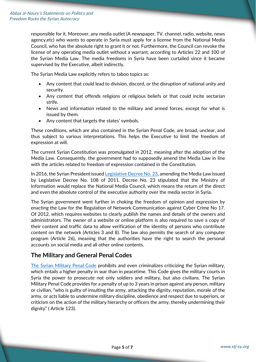responsible for it. Moreover, any media outlet (A newspaper, TV. channel, radio, website, news agency,etc) who wants to operate in Syria must apply for a license from the National Media Council, who has the absolute right to grant it or not. Furthermore, the Council can revoke the license of any operating media outlet without a warrant, according to Articles 22 and 100 of the Syrian Media Law. The media freedoms in Syria have been curtailed since it became supervised by the Executive, albeit indirectly.

The Syrian Media Law explicitly refers to taboo topics as:

- Any content that could lead to division, discord, or the disruption of national unity and security.
- Any content that offends religions or religious beliefs or that could incite sectarian strife.
- News and information related to the military and armed forces, except for what is issued by them.
- Any content that targets the states' symbols.

These conditions, which are also contained in the Syrian Penal Code, are broad, unclear, and thus subject to various interpretations. This helps the Executive to limit the freedom of expression at will.

The current Syrian Constitution was promulgated in 2012, meaning after the adoption of the Media Law. Consequently, the government had to supposedly amend the Media Law in line with the articles related to freedom of expression contained in the Constitution.

In 2016, the Syrian President issue[d Legislative Decree No. 23,](http://www.pministry.gov.sy/contents/12817/%D8%A7%D9%84%D9%85%D8%B1%D8%B3%D9%88%D9%85-%D8%A7%D9%84%D8%AA%D8%B4%D8%B1%D9%8A%D8%B9%D9%8A-%D8%B1%D9%82%D9%85-/23/-%D9%84%D8%B9%D8%A7%D9%85-2016-%D8%A7%D9%84%D9%85%D8%AA%D8%B6%D9%85%D9%86-%D8%AA%D8%B9%D8) amending the Media Law issued by Legislative Decree No. 108 of 2011. Decree No. 23 stipulated that the Ministry of Information would replace the National Media Council, which means the return of the direct and even the absolute control of the executive authority over the media sector in Syria.

The Syrian government went further in choking the freedom of opinion and expression by enacting the Law for the Regulation of Network Communication against Cyber Crime No 17. Of 2012, which requires websites to clearly publish the names and details of the owners and administrators. The owner of a website or online platform is also required to save a copy of their content and traffic data to allow verification of the identity of persons who contribute content on the network (Articles 3 and 8). The law also permits the search of any computer program (Article 26), meaning that the authorities have the right to search the personal accounts on social media and all other online contents.

#### **The Military and General Penal Codes**

[The Syrian Military Penal Code](http://parliament.gov.sy/arabic/index.php?node=5585&cat=11811) prohibits and even criminalizes criticizing the Syrian military, which entails a higher penalty in war than in peacetime. This Code gives the military courts in Syria the power to prosecute not only soldiers and military, but also civilians. The Syrian Military Penal Code provides for a penalty of up to 3 years in prison against any person, military or civilian, "who is guilty of insulting the army, attacking the dignity, reputation, morale of the army, or acts liable to undermine military discipline, obedience and respect due to superiors, or criticism on the action of the military hierarchy or officers the army, thereby undermining their dignity" ( Article 123).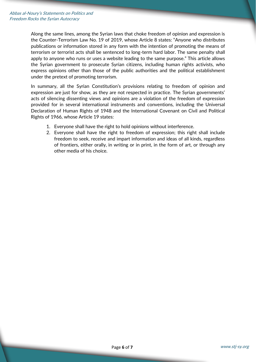Along the same lines, among the Syrian laws that choke freedom of opinion and expression is the Counter-Terrorism Law No. 19 of 2019, whose Article 8 states: "Anyone who distributes publications or information stored in any form with the intention of promoting the means of terrorism or terrorist acts shall be sentenced to long-term hard labor. The same penalty shall apply to anyone who runs or uses a website leading to the same purpose." This article allows the Syrian government to prosecute Syrian citizens, including human rights activists, who express opinions other than those of the public authorities and the political establishment under the pretext of promoting terrorism.

In summary, all the Syrian Constitution's provisions relating to freedom of opinion and expression are just for show, as they are not respected in practice. The Syrian governments' acts of silencing dissenting views and opinions are a violation of the freedom of expression provided for in several international instruments and conventions, including the Universal Declaration of Human Rights of 1948 and the International Covenant on Civil and Political Rights of 1966, whose Article 19 states:

- 1. Everyone shall have the right to hold opinions without interference.
- 2. Everyone shall have the right to freedom of expression; this right shall include freedom to seek, receive and impart information and ideas of all kinds, regardless of frontiers, either orally, in writing or in print, in the form of art, or through any other media of his choice.